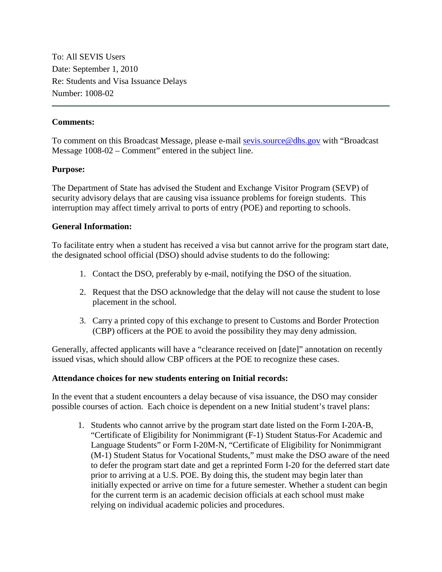To: All SEVIS Users Date: September 1, 2010 Re: Students and Visa Issuance Delays Number: 1008-02

#### **Comments:**

To comment on this Broadcast Message, please e-mail [sevis.source@dhs.gov](mailto:SEVIS.source@dhs.gov) with "Broadcast Message 1008-02 – Comment" entered in the subject line.

## **Purpose:**

The Department of State has advised the Student and Exchange Visitor Program (SEVP) of security advisory delays that are causing visa issuance problems for foreign students. This interruption may affect timely arrival to ports of entry (POE) and reporting to schools.

## **General Information:**

To facilitate entry when a student has received a visa but cannot arrive for the program start date, the designated school official (DSO) should advise students to do the following:

- 1. Contact the DSO, preferably by e-mail, notifying the DSO of the situation.
- 2. Request that the DSO acknowledge that the delay will not cause the student to lose placement in the school.
- 3. Carry a printed copy of this exchange to present to Customs and Border Protection (CBP) officers at the POE to avoid the possibility they may deny admission.

Generally, affected applicants will have a "clearance received on [date]" annotation on recently issued visas, which should allow CBP officers at the POE to recognize these cases.

#### **Attendance choices for new students entering on Initial records:**

In the event that a student encounters a delay because of visa issuance, the DSO may consider possible courses of action. Each choice is dependent on a new Initial student's travel plans:

1. Students who cannot arrive by the program start date listed on the Form I-20A-B, "Certificate of Eligibility for Nonimmigrant (F-1) Student Status-For Academic and Language Students" or Form I-20M-N, "Certificate of Eligibility for Nonimmigrant (M-1) Student Status for Vocational Students," must make the DSO aware of the need to defer the program start date and get a reprinted Form I-20 for the deferred start date prior to arriving at a U.S. POE. By doing this, the student may begin later than initially expected or arrive on time for a future semester. Whether a student can begin for the current term is an academic decision officials at each school must make relying on individual academic policies and procedures.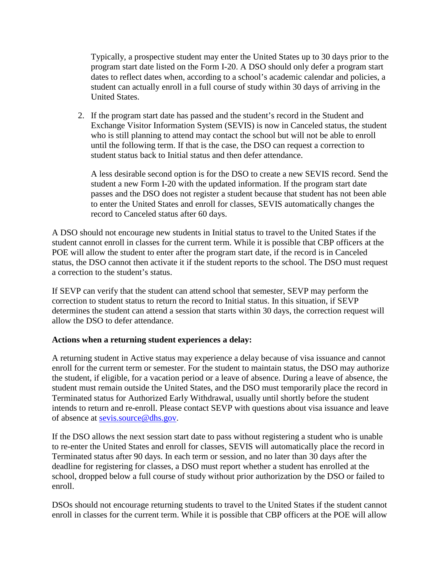Typically, a prospective student may enter the United States up to 30 days prior to the program start date listed on the Form I-20. A DSO should only defer a program start dates to reflect dates when, according to a school's academic calendar and policies, a student can actually enroll in a full course of study within 30 days of arriving in the United States.

2. If the program start date has passed and the student's record in the Student and Exchange Visitor Information System (SEVIS) is now in Canceled status, the student who is still planning to attend may contact the school but will not be able to enroll until the following term. If that is the case, the DSO can request a correction to student status back to Initial status and then defer attendance.

A less desirable second option is for the DSO to create a new SEVIS record. Send the student a new Form I-20 with the updated information. If the program start date passes and the DSO does not register a student because that student has not been able to enter the United States and enroll for classes, SEVIS automatically changes the record to Canceled status after 60 days.

A DSO should not encourage new students in Initial status to travel to the United States if the student cannot enroll in classes for the current term. While it is possible that CBP officers at the POE will allow the student to enter after the program start date, if the record is in Canceled status, the DSO cannot then activate it if the student reports to the school. The DSO must request a correction to the student's status.

If SEVP can verify that the student can attend school that semester, SEVP may perform the correction to student status to return the record to Initial status. In this situation, if SEVP determines the student can attend a session that starts within 30 days, the correction request will allow the DSO to defer attendance.

# **Actions when a returning student experiences a delay:**

A returning student in Active status may experience a delay because of visa issuance and cannot enroll for the current term or semester. For the student to maintain status, the DSO may authorize the student, if eligible, for a vacation period or a leave of absence. During a leave of absence, the student must remain outside the United States, and the DSO must temporarily place the record in Terminated status for Authorized Early Withdrawal, usually until shortly before the student intends to return and re-enroll. Please contact SEVP with questions about visa issuance and leave of absence at [sevis.source@dhs.gov.](mailto:sevis.source@dhs.gov)

If the DSO allows the next session start date to pass without registering a student who is unable to re-enter the United States and enroll for classes, SEVIS will automatically place the record in Terminated status after 90 days. In each term or session, and no later than 30 days after the deadline for registering for classes, a DSO must report whether a student has enrolled at the school, dropped below a full course of study without prior authorization by the DSO or failed to enroll.

DSOs should not encourage returning students to travel to the United States if the student cannot enroll in classes for the current term. While it is possible that CBP officers at the POE will allow